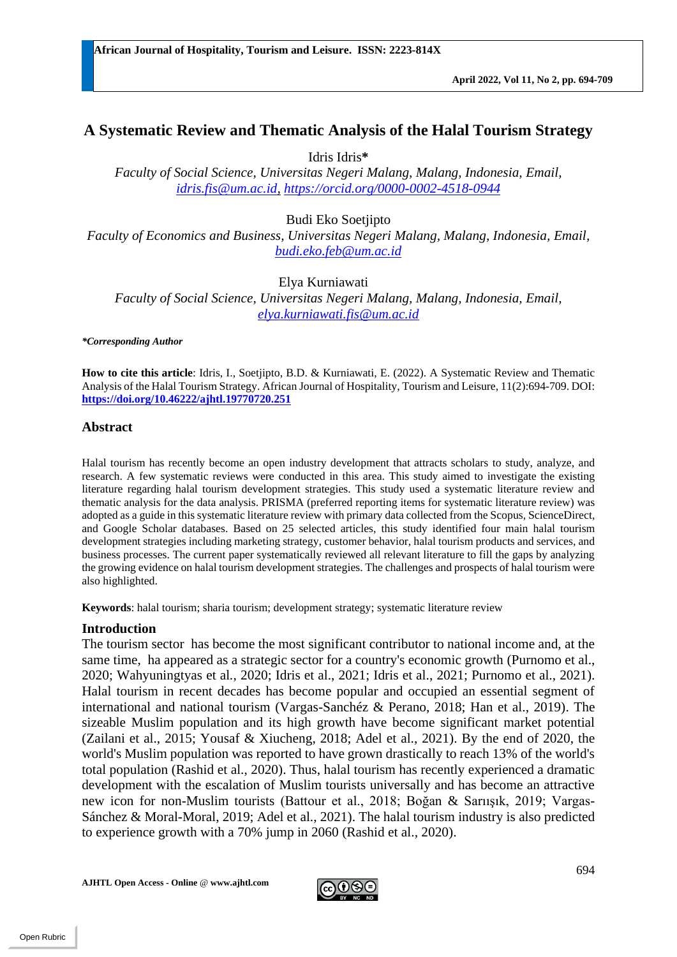**African Journal of Hospitality, Tourism and Leisure. ISSN: 2223-814X** 

# **A Systematic Review and Thematic Analysis of the Halal Tourism Strategy**

Idris Idris**\***

*Faculty of Social Science, Universitas Negeri Malang, Malang, Indonesia, Email, [idris.fis@um.ac.id,](mailto:idris.fis@um.ac.id) <https://orcid.org/0000-0002-4518-0944>*

Budi Eko Soetjipto

*Faculty of Economics and Business, Universitas Negeri Malang, Malang, Indonesia, Email, [budi.eko.feb@um.ac.id](mailto:budi.eko.feb@um.ac.id)*

Elya Kurniawati *Faculty of Social Science, Universitas Negeri Malang, Malang, Indonesia, Email, [elya.kurniawati.fis@um.ac.id](mailto:elya.kurniawati.fis@um.ac.id)*

*\*Corresponding Author*

**How to cite this article**: Idris, I., Soetjipto, B.D. & Kurniawati, E. (2022). A Systematic Review and Thematic Analysis of the Halal Tourism Strategy. African Journal of Hospitality, Tourism and Leisure, 11(2):694-709. DOI: **<https://doi.org/10.46222/ajhtl.19770720.251>**

## **Abstract**

Halal tourism has recently become an open industry development that attracts scholars to study, analyze, and research. A few systematic reviews were conducted in this area. This study aimed to investigate the existing literature regarding halal tourism development strategies. This study used a systematic literature review and thematic analysis for the data analysis. PRISMA (preferred reporting items for systematic literature review) was adopted as a guide in this systematic literature review with primary data collected from the Scopus, ScienceDirect, and Google Scholar databases. Based on 25 selected articles, this study identified four main halal tourism development strategies including marketing strategy, customer behavior, halal tourism products and services, and business processes. The current paper systematically reviewed all relevant literature to fill the gaps by analyzing the growing evidence on halal tourism development strategies. The challenges and prospects of halal tourism were also highlighted.

**Keywords**: halal tourism; sharia tourism; development strategy; systematic literature review

#### **Introduction**

The tourism sector has become the most significant contributor to national income and, at the same time, ha appeared as a strategic sector for a country's economic growth (Purnomo et al., 2020; Wahyuningtyas et al*.*, 2020; Idris et al., 2021; Idris et al., 2021; Purnomo et al., 2021). Halal tourism in recent decades has become popular and occupied an essential segment of international and national tourism (Vargas-Sanchéz & Perano, 2018; Han et al., 2019). The sizeable Muslim population and its high growth have become significant market potential (Zailani et al., 2015; Yousaf & Xiucheng, 2018; Adel et al., 2021). By the end of 2020, the world's Muslim population was reported to have grown drastically to reach 13% of the world's total population (Rashid et al., 2020). Thus, halal tourism has recently experienced a dramatic development with the escalation of Muslim tourists universally and has become an attractive new icon for non-Muslim tourists (Battour et al., 2018; Boğan & Sarıışık, 2019; Vargas-Sánchez & Moral-Moral, 2019; Adel et al., 2021). The halal tourism industry is also predicted to experience growth with a 70% jump in 2060 (Rashid et al., 2020).

**AJHTL Open Access - Online** @ **[www.ajhtl.com](http://www.ajhtl.com/)**

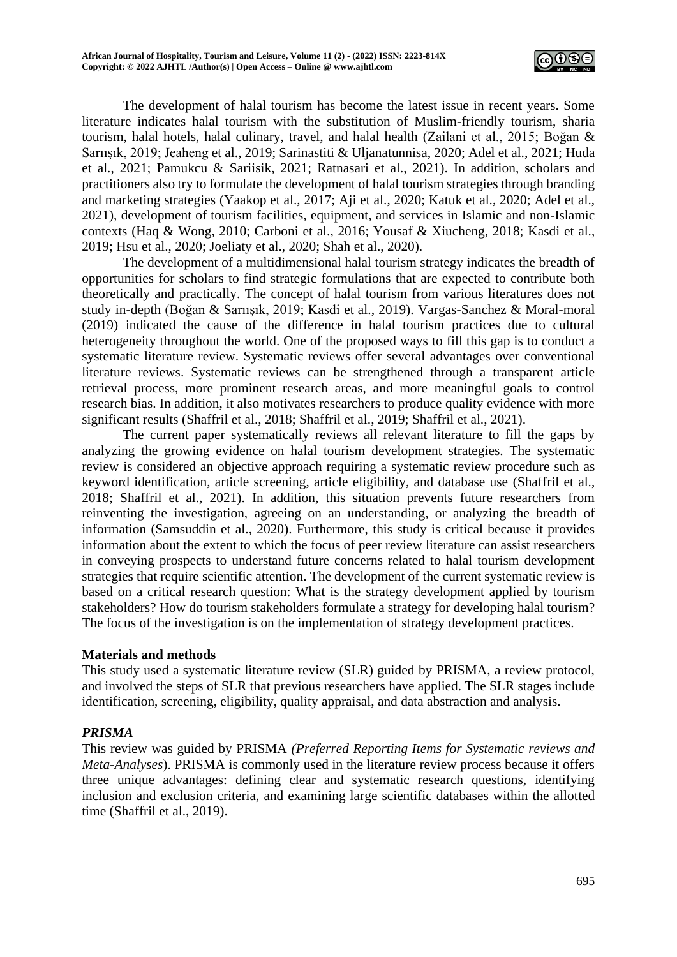

The development of halal tourism has become the latest issue in recent years. Some literature indicates halal tourism with the substitution of Muslim-friendly tourism, sharia tourism, halal hotels, halal culinary, travel, and halal health (Zailani et al., 2015; Boğan & Sarıışık, 2019; Jeaheng et al., 2019; Sarinastiti & Uljanatunnisa, 2020; Adel et al., 2021; Huda et al., 2021; Pamukcu & Sariisik, 2021; Ratnasari et al., 2021). In addition, scholars and practitioners also try to formulate the development of halal tourism strategies through branding and marketing strategies (Yaakop et al., 2017; Aji et al., 2020; Katuk et al., 2020; Adel et al., 2021), development of tourism facilities, equipment, and services in Islamic and non-Islamic contexts (Haq & Wong, 2010; Carboni et al., 2016; Yousaf & Xiucheng, 2018; Kasdi et al., 2019; Hsu et al., 2020; Joeliaty et al., 2020; Shah et al., 2020).

The development of a multidimensional halal tourism strategy indicates the breadth of opportunities for scholars to find strategic formulations that are expected to contribute both theoretically and practically. The concept of halal tourism from various literatures does not study in-depth (Boğan & Sarıışık, 2019; Kasdi et al., 2019). Vargas-Sanchez & Moral-moral (2019) indicated the cause of the difference in halal tourism practices due to cultural heterogeneity throughout the world. One of the proposed ways to fill this gap is to conduct a systematic literature review. Systematic reviews offer several advantages over conventional literature reviews. Systematic reviews can be strengthened through a transparent article retrieval process, more prominent research areas, and more meaningful goals to control research bias. In addition, it also motivates researchers to produce quality evidence with more significant results (Shaffril et al., 2018; Shaffril et al., 2019; Shaffril et al., 2021).

The current paper systematically reviews all relevant literature to fill the gaps by analyzing the growing evidence on halal tourism development strategies. The systematic review is considered an objective approach requiring a systematic review procedure such as keyword identification, article screening, article eligibility, and database use (Shaffril et al., 2018; Shaffril et al., 2021). In addition, this situation prevents future researchers from reinventing the investigation, agreeing on an understanding, or analyzing the breadth of information (Samsuddin et al., 2020). Furthermore, this study is critical because it provides information about the extent to which the focus of peer review literature can assist researchers in conveying prospects to understand future concerns related to halal tourism development strategies that require scientific attention. The development of the current systematic review is based on a critical research question: What is the strategy development applied by tourism stakeholders? How do tourism stakeholders formulate a strategy for developing halal tourism? The focus of the investigation is on the implementation of strategy development practices.

# **Materials and methods**

This study used a systematic literature review (SLR) guided by PRISMA, a review protocol, and involved the steps of SLR that previous researchers have applied. The SLR stages include identification, screening, eligibility, quality appraisal, and data abstraction and analysis.

# *PRISMA*

This review was guided by PRISMA *(Preferred Reporting Items for Systematic reviews and Meta-Analyses*). PRISMA is commonly used in the literature review process because it offers three unique advantages: defining clear and systematic research questions, identifying inclusion and exclusion criteria, and examining large scientific databases within the allotted time (Shaffril et al., 2019).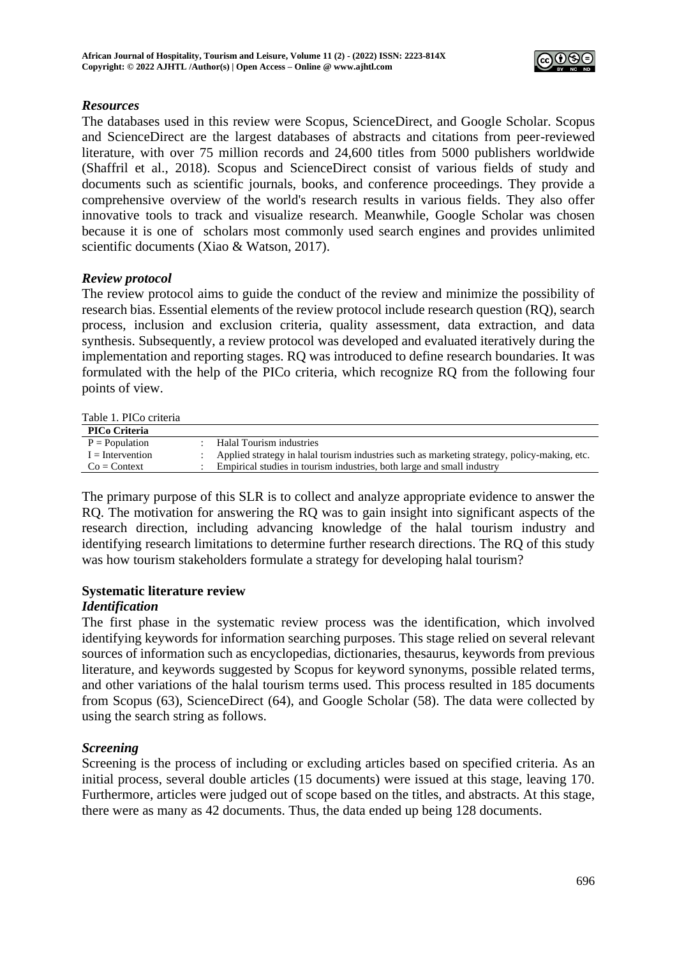

# *Resources*

The databases used in this review were Scopus, ScienceDirect, and Google Scholar. Scopus and ScienceDirect are the largest databases of abstracts and citations from peer-reviewed literature, with over 75 million records and 24,600 titles from 5000 publishers worldwide (Shaffril et al., 2018). Scopus and ScienceDirect consist of various fields of study and documents such as scientific journals, books, and conference proceedings. They provide a comprehensive overview of the world's research results in various fields. They also offer innovative tools to track and visualize research. Meanwhile, Google Scholar was chosen because it is one of scholars most commonly used search engines and provides unlimited scientific documents (Xiao & Watson, 2017).

## *Review protocol*

The review protocol aims to guide the conduct of the review and minimize the possibility of research bias. Essential elements of the review protocol include research question (RQ), search process, inclusion and exclusion criteria, quality assessment, data extraction, and data synthesis. Subsequently, a review protocol was developed and evaluated iteratively during the implementation and reporting stages. RQ was introduced to define research boundaries. It was formulated with the help of the PICo criteria, which recognize RQ from the following four points of view.

Table 1. PICo criteria

| <b>PICo Criteria</b> |                                                                                              |
|----------------------|----------------------------------------------------------------------------------------------|
| $P = Population$     | Halal Tourism industries                                                                     |
| $I =$ Intervention   | Applied strategy in halal tourism industries such as marketing strategy, policy-making, etc. |
| $Co = Context$       | Empirical studies in tourism industries, both large and small industry                       |

The primary purpose of this SLR is to collect and analyze appropriate evidence to answer the RQ. The motivation for answering the RQ was to gain insight into significant aspects of the research direction, including advancing knowledge of the halal tourism industry and identifying research limitations to determine further research directions. The RQ of this study was how tourism stakeholders formulate a strategy for developing halal tourism?

# **Systematic literature review**

# *Identification*

The first phase in the systematic review process was the identification, which involved identifying keywords for information searching purposes. This stage relied on several relevant sources of information such as encyclopedias, dictionaries, thesaurus, keywords from previous literature, and keywords suggested by Scopus for keyword synonyms, possible related terms, and other variations of the halal tourism terms used. This process resulted in 185 documents from Scopus (63), ScienceDirect (64), and Google Scholar (58). The data were collected by using the search string as follows.

# *Screening*

Screening is the process of including or excluding articles based on specified criteria. As an initial process, several double articles (15 documents) were issued at this stage, leaving 170. Furthermore, articles were judged out of scope based on the titles, and abstracts. At this stage, there were as many as 42 documents. Thus, the data ended up being 128 documents.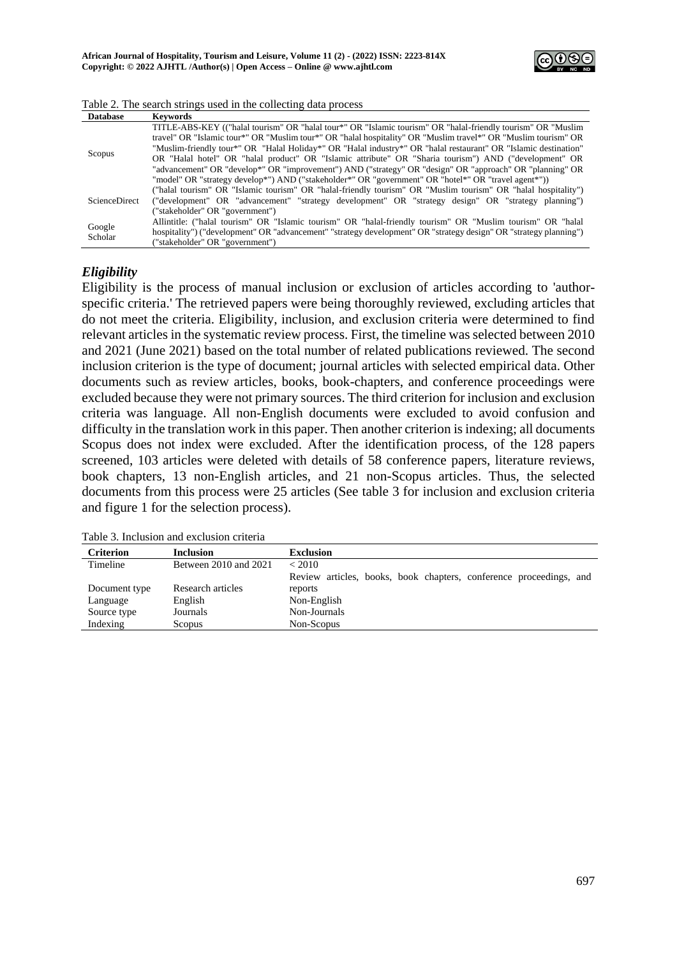

| Detebece <i>Verwords</i>                                        |  |  |  |
|-----------------------------------------------------------------|--|--|--|
| Table 2. The search strings used in the collecting data process |  |  |  |

| Database                       | revworus                                                                                                          |
|--------------------------------|-------------------------------------------------------------------------------------------------------------------|
|                                | TITLE-ABS-KEY (("halal tourism" OR "halal tour*" OR "Islamic tourism" OR "halal-friendly tourism" OR "Muslim      |
| Scopus<br><b>ScienceDirect</b> | travel" OR "Islamic tour*" OR "Muslim tour*" OR "halal hospitality" OR "Muslim travel*" OR "Muslim tourism" OR    |
|                                | "Muslim-friendly tour*" OR "Halal Holiday*" OR "Halal industry*" OR "halal restaurant" OR "Islamic destination"   |
|                                | OR "Halal hotel" OR "halal product" OR "Islamic attribute" OR "Sharia tourism") AND ("development" OR             |
|                                | "advancement" OR "develop*" OR "improvement") AND ("strategy" OR "design" OR "approach" OR "planning" OR          |
|                                | "model" OR "strategy develop*") AND ("stakeholder*" OR "government" OR "hotel*" OR "travel agent*"))              |
|                                | ("halal tourism" OR "Islamic tourism" OR "halal-friendly tourism" OR "Muslim tourism" OR "halal hospitality")     |
|                                | ("development" OR "advancement" "strategy development" OR "strategy design" OR "strategy planning")               |
|                                | ("stakeholder" OR "government")                                                                                   |
|                                | Allintitle: ("halal tourism" OR "Islamic tourism" OR "halal-friendly tourism" OR "Muslim tourism" OR "halal       |
| Google                         | hospitality") ("development" OR "advancement" "strategy development" OR "strategy design" OR "strategy planning") |
| Scholar                        | ("stakeholder" OR "government")                                                                                   |

## *Eligibility*

Eligibility is the process of manual inclusion or exclusion of articles according to 'authorspecific criteria.' The retrieved papers were being thoroughly reviewed, excluding articles that do not meet the criteria. Eligibility, inclusion, and exclusion criteria were determined to find relevant articles in the systematic review process. First, the timeline was selected between 2010 and 2021 (June 2021) based on the total number of related publications reviewed. The second inclusion criterion is the type of document; journal articles with selected empirical data. Other documents such as review articles, books, book-chapters, and conference proceedings were excluded because they were not primary sources. The third criterion for inclusion and exclusion criteria was language. All non-English documents were excluded to avoid confusion and difficulty in the translation work in this paper. Then another criterion is indexing; all documents Scopus does not index were excluded. After the identification process, of the 128 papers screened, 103 articles were deleted with details of 58 conference papers, literature reviews, book chapters, 13 non-English articles, and 21 non-Scopus articles. Thus, the selected documents from this process were 25 articles (See table 3 for inclusion and exclusion criteria and figure 1 for the selection process).

| Tuble 9. Hichagion and exclusion chiefia |                                                                    |  |  |  |
|------------------------------------------|--------------------------------------------------------------------|--|--|--|
| <b>Inclusion</b>                         | <b>Exclusion</b>                                                   |  |  |  |
| Between 2010 and 2021                    | < 2010                                                             |  |  |  |
|                                          | Review articles, books, book chapters, conference proceedings, and |  |  |  |
| Research articles                        | reports                                                            |  |  |  |
| English                                  | Non-English                                                        |  |  |  |
| Journals                                 | Non-Journals                                                       |  |  |  |
| <b>Scopus</b>                            | Non-Scopus                                                         |  |  |  |
|                                          |                                                                    |  |  |  |

Table 3. Inclusion and exclusion criteria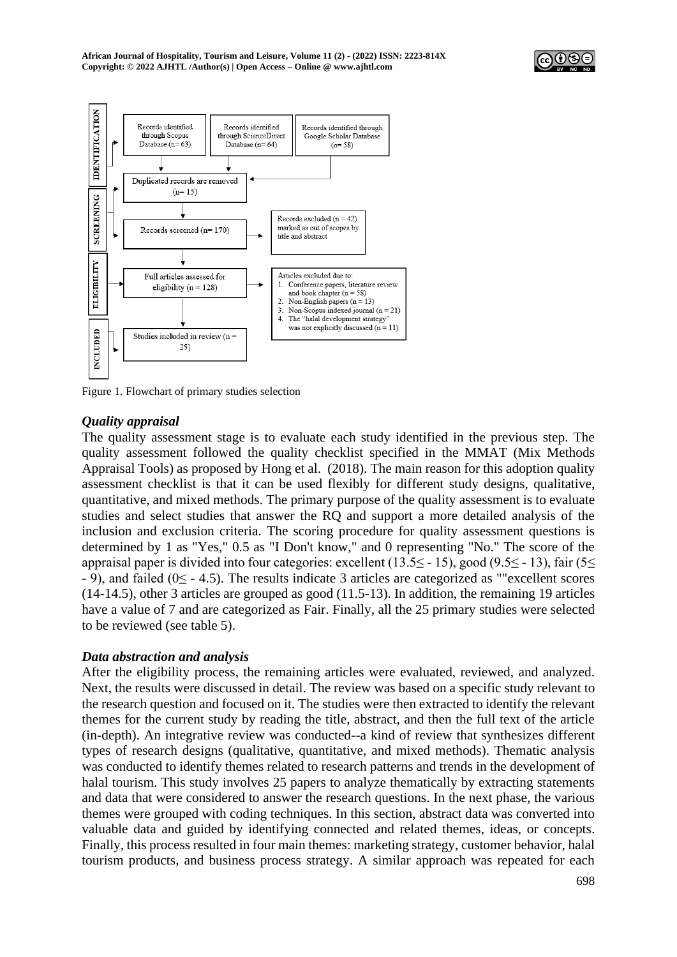



Figure 1. Flowchart of primary studies selection

# *Quality appraisal*

The quality assessment stage is to evaluate each study identified in the previous step. The quality assessment followed the quality checklist specified in the MMAT (Mix Methods Appraisal Tools) as proposed by Hong et al. (2018). The main reason for this adoption quality assessment checklist is that it can be used flexibly for different study designs, qualitative, quantitative, and mixed methods. The primary purpose of the quality assessment is to evaluate studies and select studies that answer the RQ and support a more detailed analysis of the inclusion and exclusion criteria. The scoring procedure for quality assessment questions is determined by 1 as "Yes," 0.5 as "I Don't know," and 0 representing "No." The score of the appraisal paper is divided into four categories: excellent (13.5≤ - 15), good (9.5≤ - 13), fair (5≤ - 9), and failed (0≤ - 4.5). The results indicate 3 articles are categorized as ""excellent scores (14-14.5), other 3 articles are grouped as good (11.5-13). In addition, the remaining 19 articles have a value of 7 and are categorized as Fair. Finally, all the 25 primary studies were selected to be reviewed (see table 5).

# *Data abstraction and analysis*

After the eligibility process, the remaining articles were evaluated, reviewed, and analyzed. Next, the results were discussed in detail. The review was based on a specific study relevant to the research question and focused on it. The studies were then extracted to identify the relevant themes for the current study by reading the title, abstract, and then the full text of the article (in-depth). An integrative review was conducted--a kind of review that synthesizes different types of research designs (qualitative, quantitative, and mixed methods). Thematic analysis was conducted to identify themes related to research patterns and trends in the development of halal tourism. This study involves 25 papers to analyze thematically by extracting statements and data that were considered to answer the research questions. In the next phase, the various themes were grouped with coding techniques. In this section, abstract data was converted into valuable data and guided by identifying connected and related themes, ideas, or concepts. Finally, this process resulted in four main themes: marketing strategy, customer behavior, halal tourism products, and business process strategy. A similar approach was repeated for each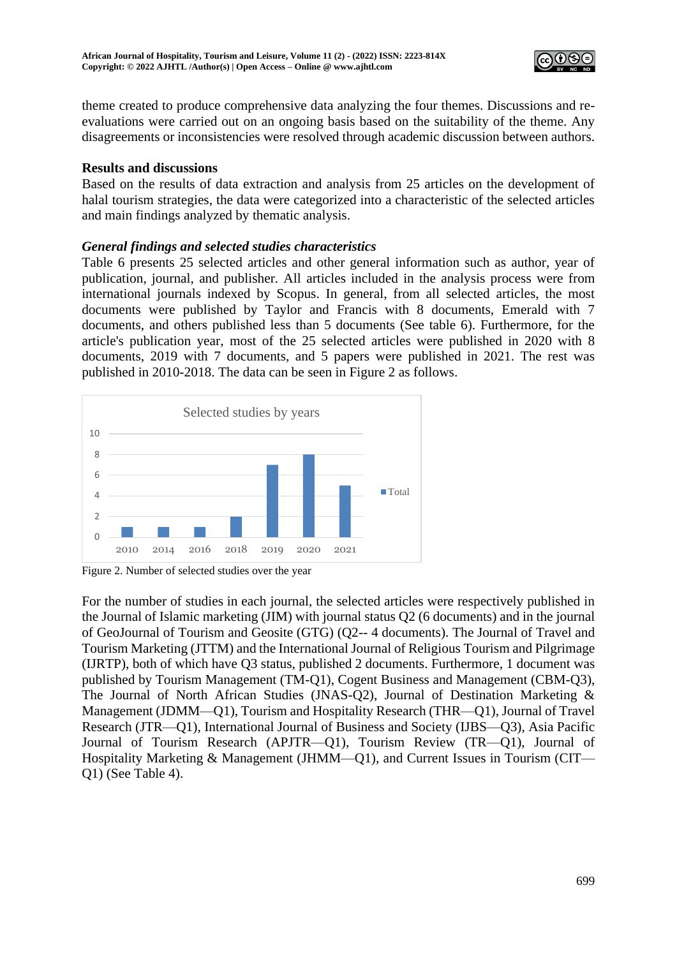

theme created to produce comprehensive data analyzing the four themes. Discussions and reevaluations were carried out on an ongoing basis based on the suitability of the theme. Any disagreements or inconsistencies were resolved through academic discussion between authors.

## **Results and discussions**

Based on the results of data extraction and analysis from 25 articles on the development of halal tourism strategies, the data were categorized into a characteristic of the selected articles and main findings analyzed by thematic analysis.

# *General findings and selected studies characteristics*

Table 6 presents 25 selected articles and other general information such as author, year of publication, journal, and publisher. All articles included in the analysis process were from international journals indexed by Scopus. In general, from all selected articles, the most documents were published by Taylor and Francis with 8 documents, Emerald with 7 documents, and others published less than 5 documents (See table 6). Furthermore, for the article's publication year, most of the 25 selected articles were published in 2020 with 8 documents, 2019 with 7 documents, and 5 papers were published in 2021. The rest was published in 2010-2018. The data can be seen in Figure 2 as follows.



Figure 2. Number of selected studies over the year

For the number of studies in each journal, the selected articles were respectively published in the Journal of Islamic marketing (JIM) with journal status Q2 (6 documents) and in the journal of GeoJournal of Tourism and Geosite (GTG) (Q2-- 4 documents). The Journal of Travel and Tourism Marketing (JTTM) and the International Journal of Religious Tourism and Pilgrimage (IJRTP), both of which have Q3 status, published 2 documents. Furthermore, 1 document was published by Tourism Management (TM-Q1), Cogent Business and Management (CBM-Q3), The Journal of North African Studies (JNAS-Q2), Journal of Destination Marketing & Management (JDMM—Q1), Tourism and Hospitality Research (THR—Q1), Journal of Travel Research (JTR—Q1), International Journal of Business and Society (IJBS—Q3), Asia Pacific Journal of Tourism Research (APJTR—Q1), Tourism Review (TR—Q1), Journal of Hospitality Marketing & Management (JHMM—Q1), and Current Issues in Tourism (CIT— Q1) (See Table 4).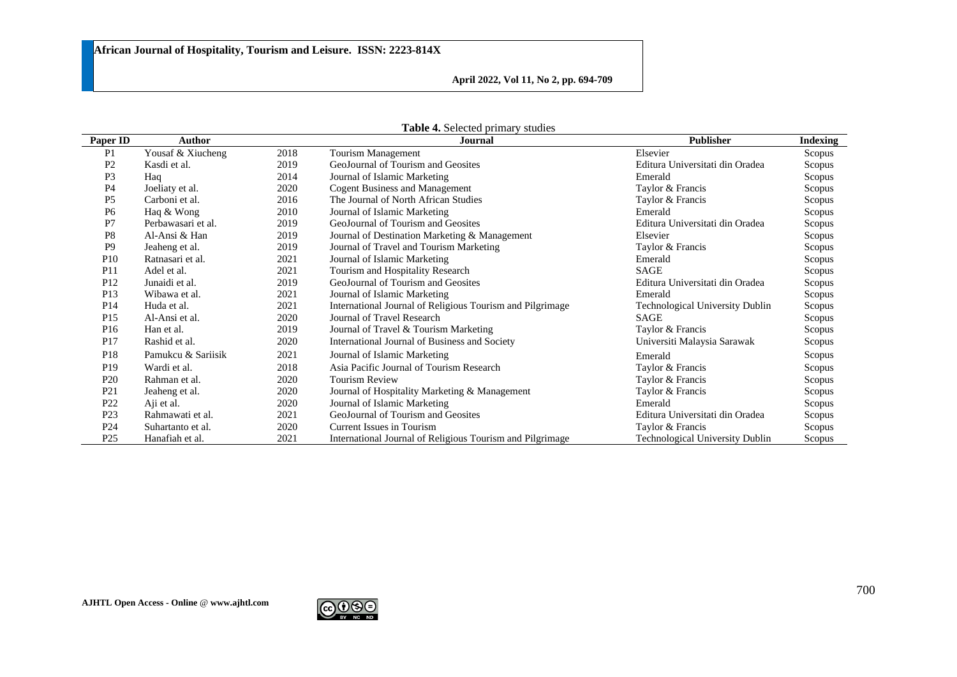**April 2022, Vol 11, No 2, pp. 694-709**

| Paper ID        | Author             |      | Journal                                                   | <b>Publisher</b>                       | Indexing |
|-----------------|--------------------|------|-----------------------------------------------------------|----------------------------------------|----------|
| P <sub>1</sub>  | Yousaf & Xiucheng  | 2018 | Tourism Management                                        | Elsevier                               | Scopus   |
| P <sub>2</sub>  | Kasdi et al.       | 2019 | GeoJournal of Tourism and Geosites                        | Editura Universitati din Oradea        | Scopus   |
| P <sub>3</sub>  | Haq                | 2014 | Journal of Islamic Marketing                              | Emerald                                | Scopus   |
| P <sub>4</sub>  | Joeliaty et al.    | 2020 | <b>Cogent Business and Management</b>                     | Taylor & Francis                       | Scopus   |
| P <sub>5</sub>  | Carboni et al.     | 2016 | The Journal of North African Studies                      | Taylor & Francis                       | Scopus   |
| P <sub>6</sub>  | Haq & Wong         | 2010 | Journal of Islamic Marketing                              | Emerald                                | Scopus   |
| P7              | Perbawasari et al. | 2019 | GeoJournal of Tourism and Geosites                        | Editura Universitati din Oradea        | Scopus   |
| P <sub>8</sub>  | Al-Ansi & Han      | 2019 | Journal of Destination Marketing & Management             | Elsevier                               | Scopus   |
| P <sub>9</sub>  | Jeaheng et al.     | 2019 | Journal of Travel and Tourism Marketing                   | Taylor & Francis                       | Scopus   |
| P <sub>10</sub> | Ratnasari et al.   | 2021 | Journal of Islamic Marketing                              | Emerald                                | Scopus   |
| P <sub>11</sub> | Adel et al.        | 2021 | Tourism and Hospitality Research                          | SAGE                                   | Scopus   |
| P <sub>12</sub> | Junaidi et al.     | 2019 | GeoJournal of Tourism and Geosites                        | Editura Universitati din Oradea        | Scopus   |
| P <sub>13</sub> | Wibawa et al.      | 2021 | Journal of Islamic Marketing                              | Emerald                                | Scopus   |
| P <sub>14</sub> | Huda et al.        | 2021 | International Journal of Religious Tourism and Pilgrimage | <b>Technological University Dublin</b> | Scopus   |
| P <sub>15</sub> | Al-Ansi et al.     | 2020 | Journal of Travel Research                                | <b>SAGE</b>                            | Scopus   |
| P <sub>16</sub> | Han et al.         | 2019 | Journal of Travel & Tourism Marketing                     | Taylor & Francis                       | Scopus   |
| P <sub>17</sub> | Rashid et al.      | 2020 | International Journal of Business and Society             | Universiti Malaysia Sarawak            | Scopus   |
| P <sub>18</sub> | Pamukcu & Sariisik | 2021 | Journal of Islamic Marketing                              | Emerald                                | Scopus   |
| P <sub>19</sub> | Wardi et al.       | 2018 | Asia Pacific Journal of Tourism Research                  | Taylor & Francis                       | Scopus   |
| P <sub>20</sub> | Rahman et al.      | 2020 | <b>Tourism Review</b>                                     | Taylor & Francis                       | Scopus   |
| P <sub>21</sub> | Jeaheng et al.     | 2020 | Journal of Hospitality Marketing & Management             | Taylor & Francis                       | Scopus   |
| P <sub>22</sub> | Aji et al.         | 2020 | Journal of Islamic Marketing                              | Emerald                                | Scopus   |
| P <sub>23</sub> | Rahmawati et al.   | 2021 | GeoJournal of Tourism and Geosites                        | Editura Universitati din Oradea        | Scopus   |
| P <sub>24</sub> | Suhartanto et al.  | 2020 | Current Issues in Tourism                                 | Taylor & Francis                       | Scopus   |
| P <sub>25</sub> | Hanafiah et al.    | 2021 | International Journal of Religious Tourism and Pilgrimage | <b>Technological University Dublin</b> | Scopus   |

**Table 4.** Selected primary studies

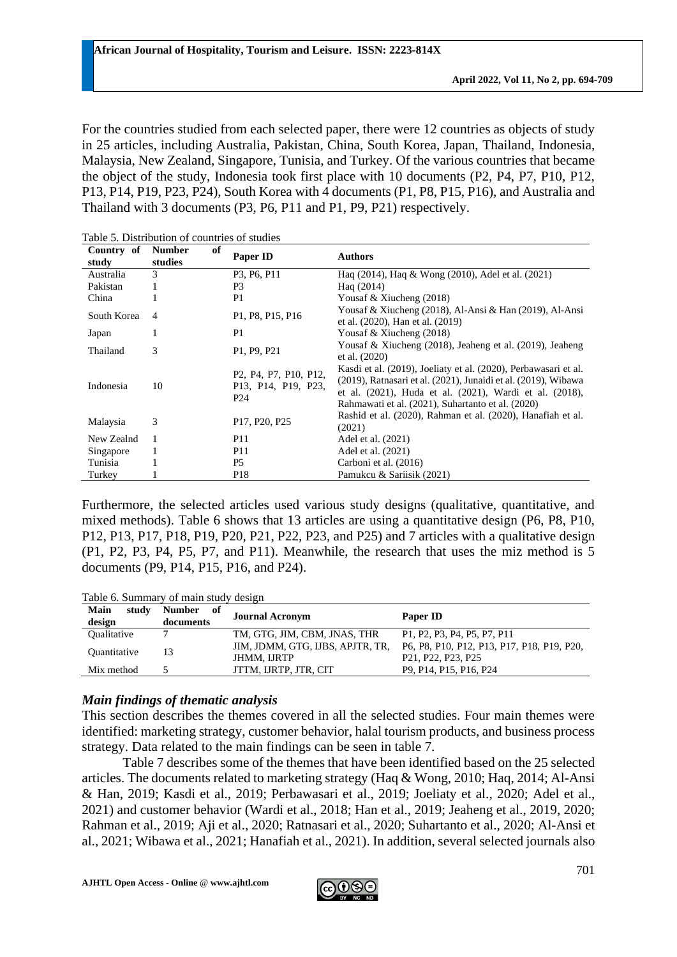For the countries studied from each selected paper, there were 12 countries as objects of study in 25 articles, including Australia, Pakistan, China, South Korea, Japan, Thailand, Indonesia, Malaysia, New Zealand, Singapore, Tunisia, and Turkey. Of the various countries that became the object of the study, Indonesia took first place with 10 documents (P2, P4, P7, P10, P12, P13, P14, P19, P23, P24), South Korea with 4 documents (P1, P8, P15, P16), and Australia and Thailand with 3 documents (P3, P6, P11 and P1, P9, P21) respectively.

| Country of<br>study | of<br><b>Number</b><br>studies | Paper ID                                                                                                                                                                             | <b>Authors</b>                                                                                                                                                                                                                                             |
|---------------------|--------------------------------|--------------------------------------------------------------------------------------------------------------------------------------------------------------------------------------|------------------------------------------------------------------------------------------------------------------------------------------------------------------------------------------------------------------------------------------------------------|
| Australia           | 3                              | P3, P6, P11                                                                                                                                                                          | Haq (2014), Haq & Wong (2010), Adel et al. (2021)                                                                                                                                                                                                          |
| Pakistan            | 1                              | P <sub>3</sub>                                                                                                                                                                       | Hag $(2014)$                                                                                                                                                                                                                                               |
| China               |                                | P <sub>1</sub>                                                                                                                                                                       | Yousaf & Xiucheng $(2018)$                                                                                                                                                                                                                                 |
| South Korea         | 4                              | P1, P8, P15, P16                                                                                                                                                                     | Yousaf & Xiucheng (2018), Al-Ansi & Han (2019), Al-Ansi<br>et al. (2020), Han et al. (2019)                                                                                                                                                                |
| Japan               |                                | P <sub>1</sub>                                                                                                                                                                       | Yousaf & Xiucheng $(2018)$                                                                                                                                                                                                                                 |
| Thailand            | 3                              | P1, P9, P21                                                                                                                                                                          | Yousaf & Xiucheng (2018), Jeaheng et al. (2019), Jeaheng<br>et al. (2020)                                                                                                                                                                                  |
| Indonesia           | 10                             | P <sub>2</sub> , P <sub>4</sub> , P <sub>7</sub> , P <sub>10</sub> , P <sub>12</sub> ,<br>P <sub>13</sub> , P <sub>14</sub> , P <sub>19</sub> , P <sub>23</sub> ,<br>P <sub>24</sub> | Kasdi et al. (2019), Joeliaty et al. (2020), Perbawasari et al.<br>$(2019)$ , Ratnasari et al. $(2021)$ , Junaidi et al. $(2019)$ , Wibawa<br>et al. (2021), Huda et al. (2021), Wardi et al. (2018),<br>Rahmawati et al. (2021), Suhartanto et al. (2020) |
| Malaysia            | 3                              | P17, P20, P25                                                                                                                                                                        | Rashid et al. (2020), Rahman et al. (2020), Hanafiah et al.<br>(2021)                                                                                                                                                                                      |
| New Zealnd          | $\mathbf{1}$                   | <b>P11</b>                                                                                                                                                                           | Adel et al. (2021)                                                                                                                                                                                                                                         |
| Singapore           | 1                              | <b>P11</b>                                                                                                                                                                           | Adel et al. (2021)                                                                                                                                                                                                                                         |
| Tunisia             |                                | P <sub>5</sub>                                                                                                                                                                       | Carboni et al. (2016)                                                                                                                                                                                                                                      |
| Turkey              |                                | P <sub>18</sub>                                                                                                                                                                      | Pamukcu & Sariisik (2021)                                                                                                                                                                                                                                  |

Table 5. Distribution of countries of studies

Furthermore, the selected articles used various study designs (qualitative, quantitative, and mixed methods). Table 6 shows that 13 articles are using a quantitative design (P6, P8, P10, P12, P13, P17, P18, P19, P20, P21, P22, P23, and P25) and 7 articles with a qualitative design (P1, P2, P3, P4, P5, P7, and P11). Meanwhile, the research that uses the miz method is 5 documents (P9, P14, P15, P16, and P24).

Table 6. Summary of main study design

| Main<br>study<br>design           | Number of<br>documents | <b>Journal Acronym</b>           | Paper ID                                                                               |
|-----------------------------------|------------------------|----------------------------------|----------------------------------------------------------------------------------------|
| <b>Oualitative</b>                |                        | TM, GTG, JIM, CBM, JNAS, THR     | P1, P2, P3, P4, P5, P7, P11                                                            |
| <i><u><b>Ouantitative</b></u></i> |                        | JIM, JDMM, GTG, IJBS, APJTR, TR, | P6, P8, P10, P12, P13, P17, P18, P19, P20,                                             |
|                                   |                        | <b>JHMM. IJRTP</b>               | P <sub>21</sub> , P <sub>22</sub> , P <sub>23</sub> , P <sub>25</sub>                  |
| Mix method                        |                        | JTTM. IJRTP. JTR. CIT            | P <sub>9</sub> , P <sub>14</sub> , P <sub>15</sub> , P <sub>16</sub> , P <sub>24</sub> |

# *Main findings of thematic analysis*

This section describes the themes covered in all the selected studies. Four main themes were identified: marketing strategy, customer behavior, halal tourism products, and business process strategy. Data related to the main findings can be seen in table 7.

Table 7 describes some of the themes that have been identified based on the 25 selected articles. The documents related to marketing strategy (Haq & Wong, 2010; Haq, 2014; Al-Ansi & Han, 2019; Kasdi et al., 2019; Perbawasari et al., 2019; Joeliaty et al., 2020; Adel et al., 2021) and customer behavior (Wardi et al., 2018; Han et al., 2019; Jeaheng et al., 2019, 2020; Rahman et al., 2019; Aji et al., 2020; Ratnasari et al., 2020; Suhartanto et al., 2020; Al-Ansi et al., 2021; Wibawa et al., 2021; Hanafiah et al., 2021). In addition, several selected journals also

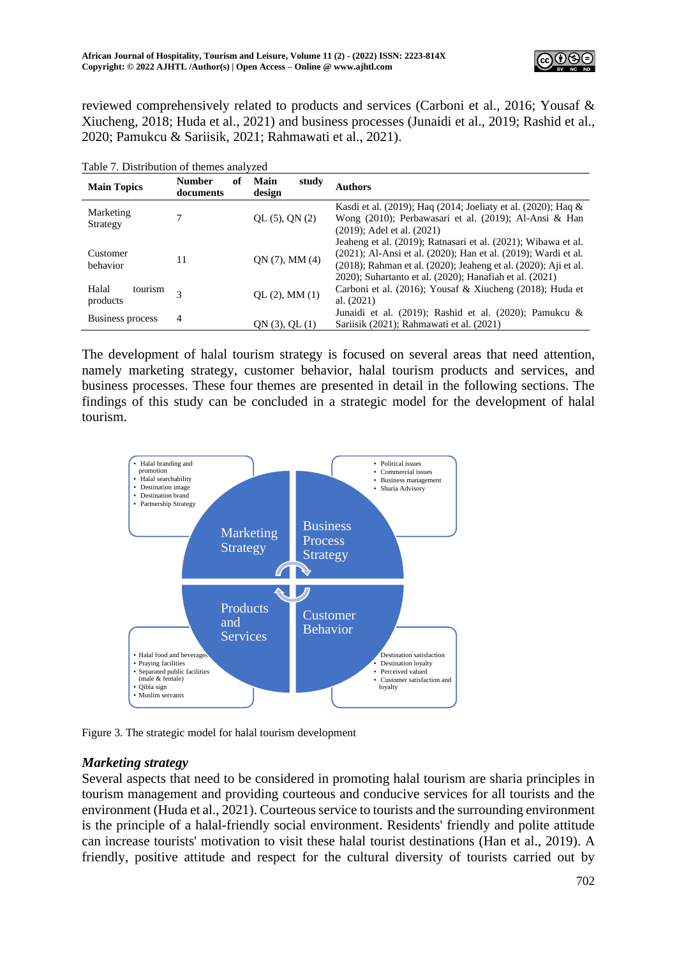

reviewed comprehensively related to products and services (Carboni et al., 2016; Yousaf & Xiucheng, 2018; Huda et al., 2021) and business processes (Junaidi et al., 2019; Rashid et al., 2020; Pamukcu & Sariisik, 2021; Rahmawati et al., 2021).

| <b>Main Topics</b>           | <b>Number</b><br>of<br>documents | Main<br>study<br>design | Authors                                                                                                                                                                                                                                                       |
|------------------------------|----------------------------------|-------------------------|---------------------------------------------------------------------------------------------------------------------------------------------------------------------------------------------------------------------------------------------------------------|
| Marketing<br>Strategy        | 7                                | QL (5), QN (2)          | Kasdi et al. (2019); Haq (2014; Joeliaty et al. (2020); Haq $\&$<br>Wong (2010); Perbawasari et al. (2019); Al-Ansi & Han<br>$(2019)$ ; Adel et al. $(2021)$                                                                                                  |
| Customer<br>behavior         | 11                               | QN(7), MM(4)            | Jeaheng et al. (2019); Ratnasari et al. (2021); Wibawa et al.<br>(2021); Al-Ansi et al. (2020); Han et al. (2019); Wardi et al.<br>(2018); Rahman et al. (2020); Jeaheng et al. (2020); Aji et al.<br>2020); Suhartanto et al. (2020); Hanafiah et al. (2021) |
| Halal<br>tourism<br>products | $\mathbf{3}$                     | QL (2), MM (1)          | Carboni et al. (2016); Yousaf & Xiucheng (2018); Huda et<br>al. $(2021)$                                                                                                                                                                                      |
| Business process             | $\overline{4}$                   | QN(3), QL(1)            | Junaidi et al. (2019); Rashid et al. (2020); Pamukcu &<br>Sariisik (2021); Rahmawati et al. (2021)                                                                                                                                                            |

The development of halal tourism strategy is focused on several areas that need attention, namely marketing strategy, customer behavior, halal tourism products and services, and business processes. These four themes are presented in detail in the following sections. The findings of this study can be concluded in a strategic model for the development of halal tourism.



Figure 3. The strategic model for halal tourism development

# *Marketing strategy*

Several aspects that need to be considered in promoting halal tourism are sharia principles in tourism management and providing courteous and conducive services for all tourists and the environment (Huda et al., 2021). Courteous service to tourists and the surrounding environment is the principle of a halal-friendly social environment. Residents' friendly and polite attitude can increase tourists' motivation to visit these halal tourist destinations (Han et al., 2019). A friendly, positive attitude and respect for the cultural diversity of tourists carried out by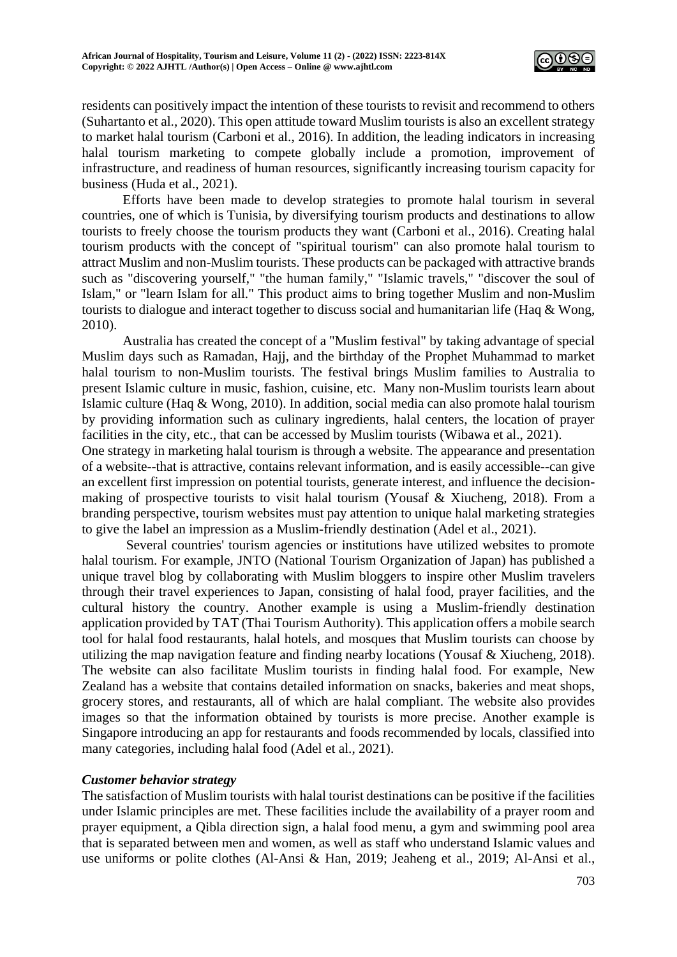

residents can positively impact the intention of these tourists to revisit and recommend to others (Suhartanto et al., 2020). This open attitude toward Muslim tourists is also an excellent strategy to market halal tourism (Carboni et al., 2016). In addition, the leading indicators in increasing halal tourism marketing to compete globally include a promotion, improvement of infrastructure, and readiness of human resources, significantly increasing tourism capacity for business (Huda et al., 2021).

Efforts have been made to develop strategies to promote halal tourism in several countries, one of which is Tunisia, by diversifying tourism products and destinations to allow tourists to freely choose the tourism products they want (Carboni et al., 2016). Creating halal tourism products with the concept of "spiritual tourism" can also promote halal tourism to attract Muslim and non-Muslim tourists. These products can be packaged with attractive brands such as "discovering yourself," "the human family," "Islamic travels," "discover the soul of Islam," or "learn Islam for all." This product aims to bring together Muslim and non-Muslim tourists to dialogue and interact together to discuss social and humanitarian life (Haq & Wong, 2010).

Australia has created the concept of a "Muslim festival" by taking advantage of special Muslim days such as Ramadan, Hajj, and the birthday of the Prophet Muhammad to market halal tourism to non-Muslim tourists. The festival brings Muslim families to Australia to present Islamic culture in music, fashion, cuisine, etc. Many non-Muslim tourists learn about Islamic culture (Haq & Wong, 2010). In addition, social media can also promote halal tourism by providing information such as culinary ingredients, halal centers, the location of prayer facilities in the city, etc., that can be accessed by Muslim tourists (Wibawa et al., 2021).

One strategy in marketing halal tourism is through a website. The appearance and presentation of a website--that is attractive, contains relevant information, and is easily accessible--can give an excellent first impression on potential tourists, generate interest, and influence the decisionmaking of prospective tourists to visit halal tourism (Yousaf & Xiucheng, 2018). From a branding perspective, tourism websites must pay attention to unique halal marketing strategies to give the label an impression as a Muslim-friendly destination (Adel et al., 2021).

Several countries' tourism agencies or institutions have utilized websites to promote halal tourism. For example, JNTO (National Tourism Organization of Japan) has published a unique travel blog by collaborating with Muslim bloggers to inspire other Muslim travelers through their travel experiences to Japan, consisting of halal food, prayer facilities, and the cultural history the country. Another example is using a Muslim-friendly destination application provided by TAT (Thai Tourism Authority). This application offers a mobile search tool for halal food restaurants, halal hotels, and mosques that Muslim tourists can choose by utilizing the map navigation feature and finding nearby locations (Yousaf & Xiucheng, 2018). The website can also facilitate Muslim tourists in finding halal food. For example, New Zealand has a website that contains detailed information on snacks, bakeries and meat shops, grocery stores, and restaurants, all of which are halal compliant. The website also provides images so that the information obtained by tourists is more precise. Another example is Singapore introducing an app for restaurants and foods recommended by locals, classified into many categories, including halal food (Adel et al., 2021).

#### *Customer behavior strategy*

The satisfaction of Muslim tourists with halal tourist destinations can be positive if the facilities under Islamic principles are met. These facilities include the availability of a prayer room and prayer equipment, a Qibla direction sign, a halal food menu, a gym and swimming pool area that is separated between men and women, as well as staff who understand Islamic values and use uniforms or polite clothes (Al-Ansi & Han, 2019; Jeaheng et al., 2019; Al-Ansi et al.,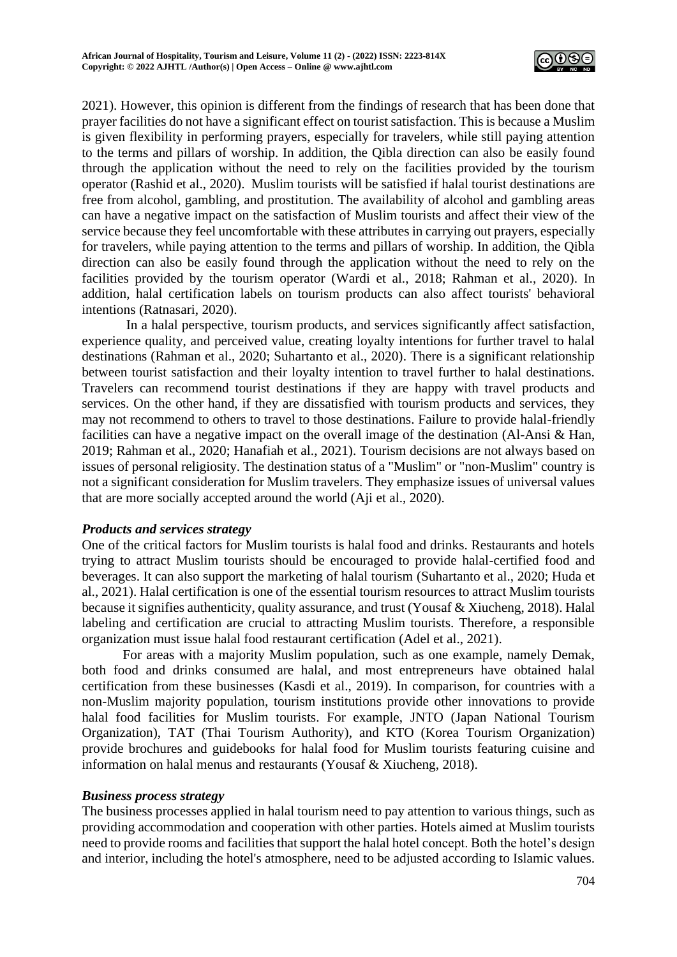

2021). However, this opinion is different from the findings of research that has been done that prayer facilities do not have a significant effect on tourist satisfaction. This is because a Muslim is given flexibility in performing prayers, especially for travelers, while still paying attention to the terms and pillars of worship. In addition, the Qibla direction can also be easily found through the application without the need to rely on the facilities provided by the tourism operator (Rashid et al., 2020). Muslim tourists will be satisfied if halal tourist destinations are free from alcohol, gambling, and prostitution. The availability of alcohol and gambling areas can have a negative impact on the satisfaction of Muslim tourists and affect their view of the service because they feel uncomfortable with these attributes in carrying out prayers, especially for travelers, while paying attention to the terms and pillars of worship. In addition, the Qibla direction can also be easily found through the application without the need to rely on the facilities provided by the tourism operator (Wardi et al., 2018; Rahman et al., 2020). In addition, halal certification labels on tourism products can also affect tourists' behavioral intentions (Ratnasari, 2020).

In a halal perspective, tourism products, and services significantly affect satisfaction, experience quality, and perceived value, creating loyalty intentions for further travel to halal destinations (Rahman et al., 2020; Suhartanto et al., 2020). There is a significant relationship between tourist satisfaction and their loyalty intention to travel further to halal destinations. Travelers can recommend tourist destinations if they are happy with travel products and services. On the other hand, if they are dissatisfied with tourism products and services, they may not recommend to others to travel to those destinations. Failure to provide halal-friendly facilities can have a negative impact on the overall image of the destination (Al-Ansi & Han, 2019; Rahman et al., 2020; Hanafiah et al., 2021). Tourism decisions are not always based on issues of personal religiosity. The destination status of a "Muslim" or "non-Muslim" country is not a significant consideration for Muslim travelers. They emphasize issues of universal values that are more socially accepted around the world (Aji et al., 2020).

# *Products and services strategy*

One of the critical factors for Muslim tourists is halal food and drinks. Restaurants and hotels trying to attract Muslim tourists should be encouraged to provide halal-certified food and beverages. It can also support the marketing of halal tourism (Suhartanto et al., 2020; Huda et al., 2021). Halal certification is one of the essential tourism resources to attract Muslim tourists because it signifies authenticity, quality assurance, and trust (Yousaf & Xiucheng, 2018). Halal labeling and certification are crucial to attracting Muslim tourists. Therefore, a responsible organization must issue halal food restaurant certification (Adel et al., 2021).

For areas with a majority Muslim population, such as one example, namely Demak, both food and drinks consumed are halal, and most entrepreneurs have obtained halal certification from these businesses (Kasdi et al., 2019). In comparison, for countries with a non-Muslim majority population, tourism institutions provide other innovations to provide halal food facilities for Muslim tourists. For example, JNTO (Japan National Tourism Organization), TAT (Thai Tourism Authority), and KTO (Korea Tourism Organization) provide brochures and guidebooks for halal food for Muslim tourists featuring cuisine and information on halal menus and restaurants (Yousaf & Xiucheng, 2018).

#### *Business process strategy*

The business processes applied in halal tourism need to pay attention to various things, such as providing accommodation and cooperation with other parties. Hotels aimed at Muslim tourists need to provide rooms and facilities that support the halal hotel concept. Both the hotel's design and interior, including the hotel's atmosphere, need to be adjusted according to Islamic values.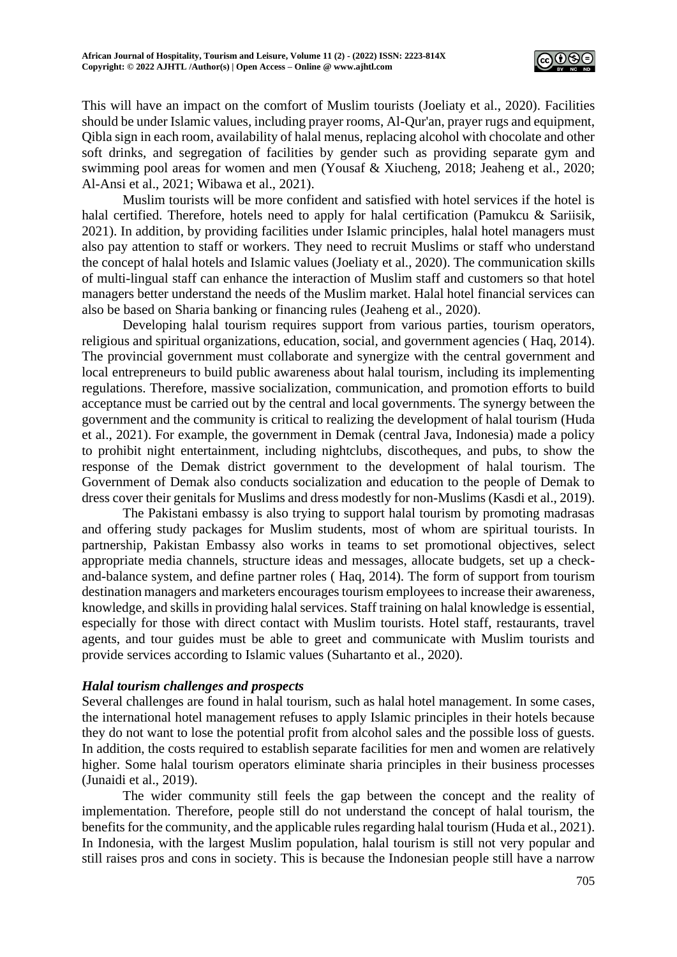

This will have an impact on the comfort of Muslim tourists (Joeliaty et al., 2020). Facilities should be under Islamic values, including prayer rooms, Al-Qur'an, prayer rugs and equipment, Qibla sign in each room, availability of halal menus, replacing alcohol with chocolate and other soft drinks, and segregation of facilities by gender such as providing separate gym and swimming pool areas for women and men (Yousaf & Xiucheng, 2018; Jeaheng et al., 2020; Al-Ansi et al., 2021; Wibawa et al., 2021).

Muslim tourists will be more confident and satisfied with hotel services if the hotel is halal certified. Therefore, hotels need to apply for halal certification (Pamukcu & Sariisik, 2021). In addition, by providing facilities under Islamic principles, halal hotel managers must also pay attention to staff or workers. They need to recruit Muslims or staff who understand the concept of halal hotels and Islamic values (Joeliaty et al., 2020). The communication skills of multi-lingual staff can enhance the interaction of Muslim staff and customers so that hotel managers better understand the needs of the Muslim market. Halal hotel financial services can also be based on Sharia banking or financing rules (Jeaheng et al., 2020).

Developing halal tourism requires support from various parties, tourism operators, religious and spiritual organizations, education, social, and government agencies ( Haq, 2014). The provincial government must collaborate and synergize with the central government and local entrepreneurs to build public awareness about halal tourism, including its implementing regulations. Therefore, massive socialization, communication, and promotion efforts to build acceptance must be carried out by the central and local governments. The synergy between the government and the community is critical to realizing the development of halal tourism (Huda et al., 2021). For example, the government in Demak (central Java, Indonesia) made a policy to prohibit night entertainment, including nightclubs, discotheques, and pubs, to show the response of the Demak district government to the development of halal tourism. The Government of Demak also conducts socialization and education to the people of Demak to dress cover their genitals for Muslims and dress modestly for non-Muslims (Kasdi et al., 2019).

The Pakistani embassy is also trying to support halal tourism by promoting madrasas and offering study packages for Muslim students, most of whom are spiritual tourists. In partnership, Pakistan Embassy also works in teams to set promotional objectives, select appropriate media channels, structure ideas and messages, allocate budgets, set up a checkand-balance system, and define partner roles ( Haq, 2014). The form of support from tourism destination managers and marketers encourages tourism employees to increase their awareness, knowledge, and skills in providing halal services. Staff training on halal knowledge is essential, especially for those with direct contact with Muslim tourists. Hotel staff, restaurants, travel agents, and tour guides must be able to greet and communicate with Muslim tourists and provide services according to Islamic values (Suhartanto et al., 2020).

#### *Halal tourism challenges and prospects*

Several challenges are found in halal tourism, such as halal hotel management. In some cases, the international hotel management refuses to apply Islamic principles in their hotels because they do not want to lose the potential profit from alcohol sales and the possible loss of guests. In addition, the costs required to establish separate facilities for men and women are relatively higher. Some halal tourism operators eliminate sharia principles in their business processes (Junaidi et al., 2019).

The wider community still feels the gap between the concept and the reality of implementation. Therefore, people still do not understand the concept of halal tourism, the benefits for the community, and the applicable rules regarding halal tourism (Huda et al., 2021). In Indonesia, with the largest Muslim population, halal tourism is still not very popular and still raises pros and cons in society. This is because the Indonesian people still have a narrow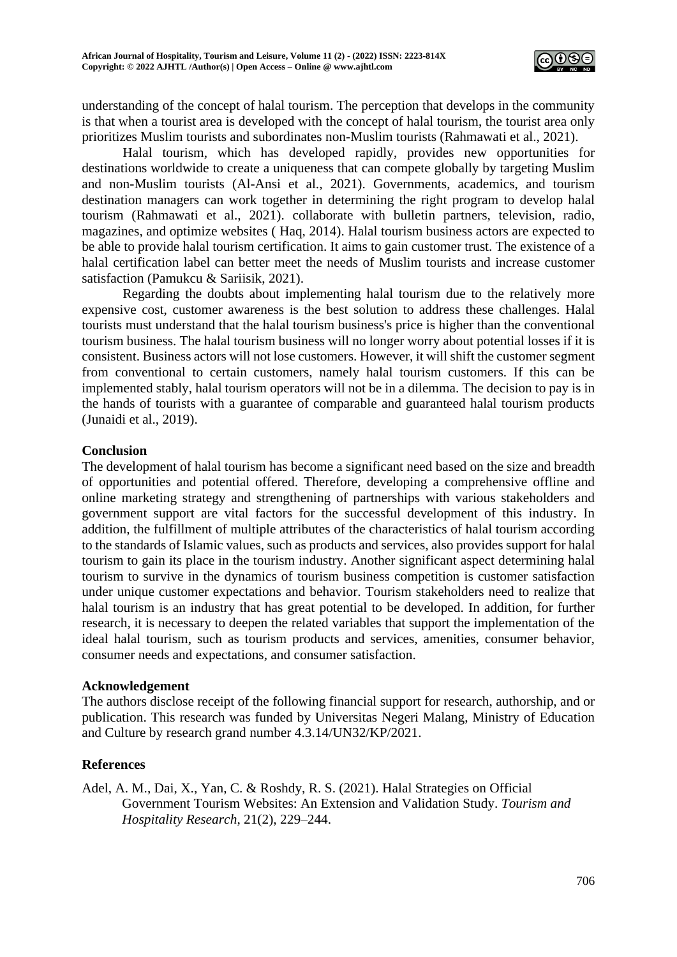

understanding of the concept of halal tourism. The perception that develops in the community is that when a tourist area is developed with the concept of halal tourism, the tourist area only prioritizes Muslim tourists and subordinates non-Muslim tourists (Rahmawati et al., 2021).

Halal tourism, which has developed rapidly, provides new opportunities for destinations worldwide to create a uniqueness that can compete globally by targeting Muslim and non-Muslim tourists (Al-Ansi et al., 2021). Governments, academics, and tourism destination managers can work together in determining the right program to develop halal tourism (Rahmawati et al., 2021). collaborate with bulletin partners, television, radio, magazines, and optimize websites ( Haq, 2014). Halal tourism business actors are expected to be able to provide halal tourism certification. It aims to gain customer trust. The existence of a halal certification label can better meet the needs of Muslim tourists and increase customer satisfaction (Pamukcu & Sariisik, 2021).

Regarding the doubts about implementing halal tourism due to the relatively more expensive cost, customer awareness is the best solution to address these challenges. Halal tourists must understand that the halal tourism business's price is higher than the conventional tourism business. The halal tourism business will no longer worry about potential losses if it is consistent. Business actors will not lose customers. However, it will shift the customer segment from conventional to certain customers, namely halal tourism customers. If this can be implemented stably, halal tourism operators will not be in a dilemma. The decision to pay is in the hands of tourists with a guarantee of comparable and guaranteed halal tourism products (Junaidi et al., 2019).

## **Conclusion**

The development of halal tourism has become a significant need based on the size and breadth of opportunities and potential offered. Therefore, developing a comprehensive offline and online marketing strategy and strengthening of partnerships with various stakeholders and government support are vital factors for the successful development of this industry. In addition, the fulfillment of multiple attributes of the characteristics of halal tourism according to the standards of Islamic values, such as products and services, also provides support for halal tourism to gain its place in the tourism industry. Another significant aspect determining halal tourism to survive in the dynamics of tourism business competition is customer satisfaction under unique customer expectations and behavior. Tourism stakeholders need to realize that halal tourism is an industry that has great potential to be developed. In addition, for further research, it is necessary to deepen the related variables that support the implementation of the ideal halal tourism, such as tourism products and services, amenities, consumer behavior, consumer needs and expectations, and consumer satisfaction.

#### **Acknowledgement**

The authors disclose receipt of the following financial support for research, authorship, and or publication. This research was funded by Universitas Negeri Malang, Ministry of Education and Culture by research grand number 4.3.14/UN32/KP/2021.

# **References**

Adel, A. M., Dai, X., Yan, C. & Roshdy, R. S. (2021). Halal Strategies on Official Government Tourism Websites: An Extension and Validation Study. *Tourism and Hospitality Research*, 21(2), 229–244.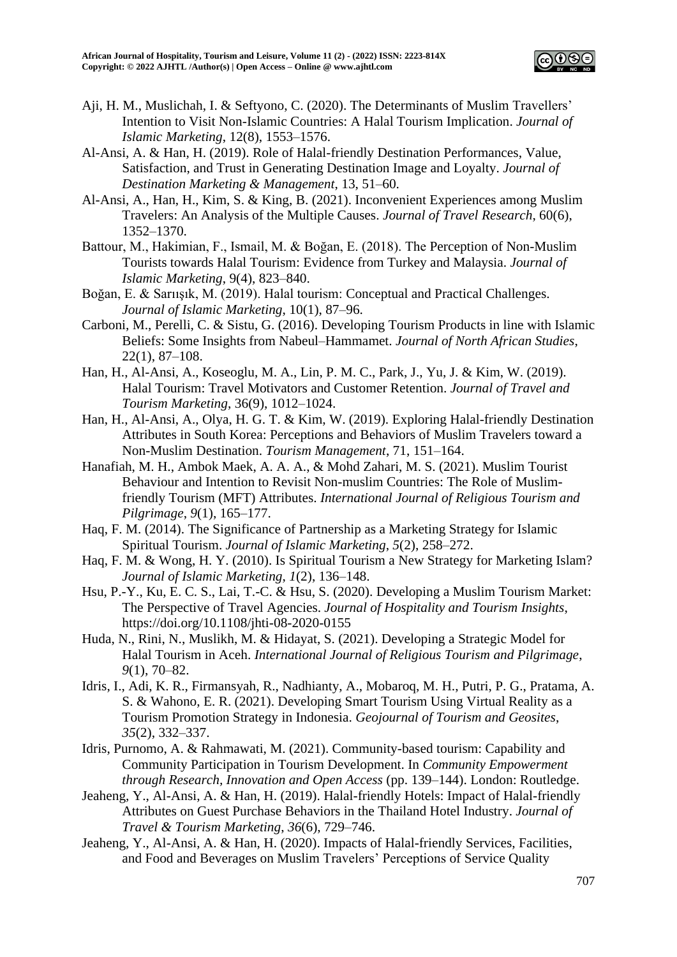

- Aji, H. M., Muslichah, I. & Seftyono, C. (2020). The Determinants of Muslim Travellers' Intention to Visit Non-Islamic Countries: A Halal Tourism Implication. *Journal of Islamic Marketing*, 12(8), 1553–1576.
- Al-Ansi, A. & Han, H. (2019). Role of Halal-friendly Destination Performances, Value, Satisfaction, and Trust in Generating Destination Image and Loyalty. *Journal of Destination Marketing & Management*, 13, 51–60.
- Al-Ansi, A., Han, H., Kim, S. & King, B. (2021). Inconvenient Experiences among Muslim Travelers: An Analysis of the Multiple Causes. *Journal of Travel Research*, 60(6), 1352–1370.
- Battour, M., Hakimian, F., Ismail, M. & Boğan, E. (2018). The Perception of Non-Muslim Tourists towards Halal Tourism: Evidence from Turkey and Malaysia. *Journal of Islamic Marketing*, 9(4), 823–840.
- Boğan, E. & Sarıışık, M. (2019). Halal tourism: Conceptual and Practical Challenges. *Journal of Islamic Marketing*, 10(1), 87–96.
- Carboni, M., Perelli, C. & Sistu, G. (2016). Developing Tourism Products in line with Islamic Beliefs: Some Insights from Nabeul–Hammamet. *Journal of North African Studies*, 22(1), 87–108.
- Han, H., Al-Ansi, A., Koseoglu, M. A., Lin, P. M. C., Park, J., Yu, J. & Kim, W. (2019). Halal Tourism: Travel Motivators and Customer Retention. *Journal of Travel and Tourism Marketing*, 36(9), 1012–1024.
- Han, H., Al-Ansi, A., Olya, H. G. T. & Kim, W. (2019). Exploring Halal-friendly Destination Attributes in South Korea: Perceptions and Behaviors of Muslim Travelers toward a Non-Muslim Destination. *Tourism Management*, 71, 151–164.
- Hanafiah, M. H., Ambok Maek, A. A. A., & Mohd Zahari, M. S. (2021). Muslim Tourist Behaviour and Intention to Revisit Non-muslim Countries: The Role of Muslimfriendly Tourism (MFT) Attributes. *International Journal of Religious Tourism and Pilgrimage*, *9*(1), 165–177.
- Haq, F. M. (2014). The Significance of Partnership as a Marketing Strategy for Islamic Spiritual Tourism. *Journal of Islamic Marketing*, *5*(2), 258–272.
- Haq, F. M. & Wong, H. Y. (2010). Is Spiritual Tourism a New Strategy for Marketing Islam? *Journal of Islamic Marketing*, *1*(2), 136–148.
- Hsu, P.-Y., Ku, E. C. S., Lai, T.-C. & Hsu, S. (2020). Developing a Muslim Tourism Market: The Perspective of Travel Agencies. *Journal of Hospitality and Tourism Insights*, https://doi.org/10.1108/jhti-08-2020-0155
- Huda, N., Rini, N., Muslikh, M. & Hidayat, S. (2021). Developing a Strategic Model for Halal Tourism in Aceh. *International Journal of Religious Tourism and Pilgrimage*, *9*(1), 70–82.
- Idris, I., Adi, K. R., Firmansyah, R., Nadhianty, A., Mobaroq, M. H., Putri, P. G., Pratama, A. S. & Wahono, E. R. (2021). Developing Smart Tourism Using Virtual Reality as a Tourism Promotion Strategy in Indonesia. *Geojournal of Tourism and Geosites*, *35*(2), 332–337.
- Idris, Purnomo, A. & Rahmawati, M. (2021). Community-based tourism: Capability and Community Participation in Tourism Development. In *Community Empowerment through Research, Innovation and Open Access* (pp. 139–144). London: Routledge.
- Jeaheng, Y., Al-Ansi, A. & Han, H. (2019). Halal-friendly Hotels: Impact of Halal-friendly Attributes on Guest Purchase Behaviors in the Thailand Hotel Industry. *Journal of Travel & Tourism Marketing*, *36*(6), 729–746.
- Jeaheng, Y., Al-Ansi, A. & Han, H. (2020). Impacts of Halal-friendly Services, Facilities, and Food and Beverages on Muslim Travelers' Perceptions of Service Quality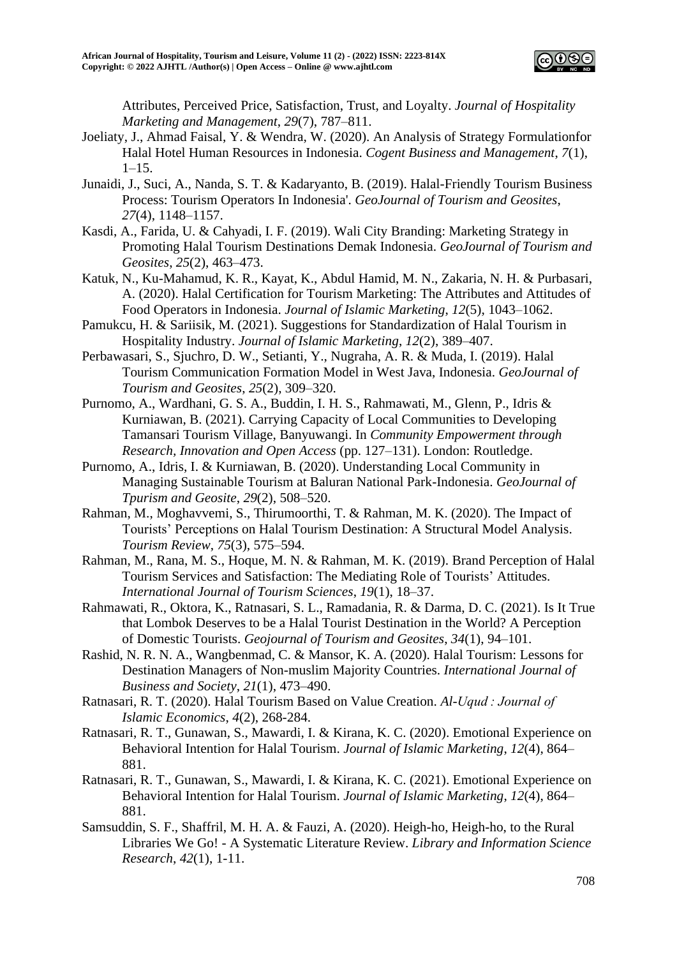

Attributes, Perceived Price, Satisfaction, Trust, and Loyalty. *Journal of Hospitality Marketing and Management*, *29*(7), 787–811.

- Joeliaty, J., Ahmad Faisal, Y. & Wendra, W. (2020). An Analysis of Strategy Formulationfor Halal Hotel Human Resources in Indonesia. *Cogent Business and Management*, *7*(1),  $1-15.$
- Junaidi, J., Suci, A., Nanda, S. T. & Kadaryanto, B. (2019). Halal-Friendly Tourism Business Process: Tourism Operators In Indonesia'. *GeoJournal of Tourism and Geosites*, *27*(4), 1148–1157.
- Kasdi, A., Farida, U. & Cahyadi, I. F. (2019). Wali City Branding: Marketing Strategy in Promoting Halal Tourism Destinations Demak Indonesia. *GeoJournal of Tourism and Geosites*, *25*(2), 463–473.

Katuk, N., Ku-Mahamud, K. R., Kayat, K., Abdul Hamid, M. N., Zakaria, N. H. & Purbasari, A. (2020). Halal Certification for Tourism Marketing: The Attributes and Attitudes of Food Operators in Indonesia. *Journal of Islamic Marketing*, *12*(5), 1043–1062.

- Pamukcu, H. & Sariisik, M. (2021). Suggestions for Standardization of Halal Tourism in Hospitality Industry. *Journal of Islamic Marketing*, *12*(2), 389–407.
- Perbawasari, S., Sjuchro, D. W., Setianti, Y., Nugraha, A. R. & Muda, I. (2019). Halal Tourism Communication Formation Model in West Java, Indonesia. *GeoJournal of Tourism and Geosites*, *25*(2), 309–320.
- Purnomo, A., Wardhani, G. S. A., Buddin, I. H. S., Rahmawati, M., Glenn, P., Idris & Kurniawan, B. (2021). Carrying Capacity of Local Communities to Developing Tamansari Tourism Village, Banyuwangi. In *Community Empowerment through Research, Innovation and Open Access* (pp. 127–131). London: Routledge.
- Purnomo, A., Idris, I. & Kurniawan, B. (2020). Understanding Local Community in Managing Sustainable Tourism at Baluran National Park-Indonesia. *GeoJournal of Tpurism and Geosite*, *29*(2), 508–520.
- Rahman, M., Moghavvemi, S., Thirumoorthi, T. & Rahman, M. K. (2020). The Impact of Tourists' Perceptions on Halal Tourism Destination: A Structural Model Analysis. *Tourism Review*, *75*(3), 575–594.
- Rahman, M., Rana, M. S., Hoque, M. N. & Rahman, M. K. (2019). Brand Perception of Halal Tourism Services and Satisfaction: The Mediating Role of Tourists' Attitudes. *International Journal of Tourism Sciences*, *19*(1), 18–37.
- Rahmawati, R., Oktora, K., Ratnasari, S. L., Ramadania, R. & Darma, D. C. (2021). Is It True that Lombok Deserves to be a Halal Tourist Destination in the World? A Perception of Domestic Tourists. *Geojournal of Tourism and Geosites*, *34*(1), 94–101.
- Rashid, N. R. N. A., Wangbenmad, C. & Mansor, K. A. (2020). Halal Tourism: Lessons for Destination Managers of Non-muslim Majority Countries. *International Journal of Business and Society*, *21*(1), 473–490.
- Ratnasari, R. T. (2020). Halal Tourism Based on Value Creation. *Al-Uqud : Journal of Islamic Economics*, *4*(2), 268-284.
- Ratnasari, R. T., Gunawan, S., Mawardi, I. & Kirana, K. C. (2020). Emotional Experience on Behavioral Intention for Halal Tourism. *Journal of Islamic Marketing*, *12*(4), 864– 881.
- Ratnasari, R. T., Gunawan, S., Mawardi, I. & Kirana, K. C. (2021). Emotional Experience on Behavioral Intention for Halal Tourism. *Journal of Islamic Marketing*, *12*(4), 864– 881.
- Samsuddin, S. F., Shaffril, M. H. A. & Fauzi, A. (2020). Heigh-ho, Heigh-ho, to the Rural Libraries We Go! - A Systematic Literature Review. *Library and Information Science Research*, *42*(1), 1-11.